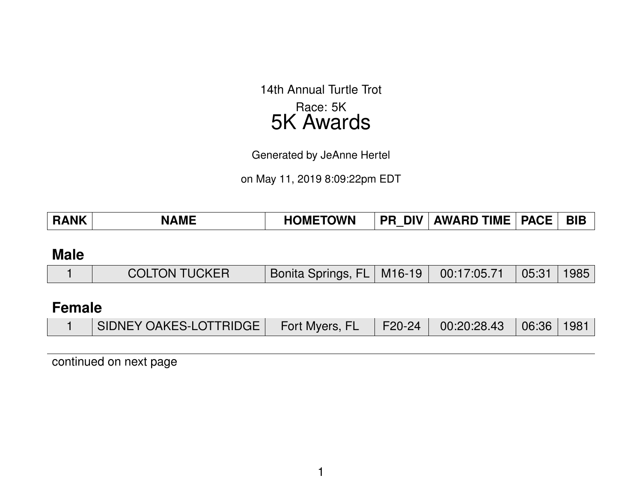14th Annual Turtle Trot Race: 5K 5K Awards

Generated by JeAnne Hertel

on May 11, 2019 8:09:22pm EDT

| <b>NK</b><br>Ð | <b>AMF</b><br>N, | <b>TOWN</b><br>ЭMF<br>– ∎⊾ | <b>DIV</b><br>PR | <b>TIME</b><br><b>AWARD</b> | <b>PACF</b> | <b>BIE</b> |
|----------------|------------------|----------------------------|------------------|-----------------------------|-------------|------------|
|----------------|------------------|----------------------------|------------------|-----------------------------|-------------|------------|

### **Male**

|  | <b>COLTON TUCKER</b> | Bonita Springs, FL   M16-19   00:17:05.71   05:31   1985 |  |  |  |  |
|--|----------------------|----------------------------------------------------------|--|--|--|--|
|--|----------------------|----------------------------------------------------------|--|--|--|--|

# **Female**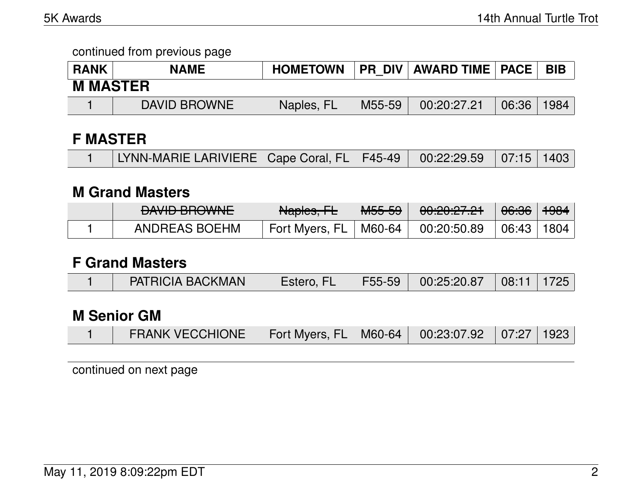| <b>RANK</b>     | <b>NAME</b>  | <b>HOMETOWN</b> |        | <b>PR DIV AWARD TIME   PACE  </b> |       | <b>BIB</b> |
|-----------------|--------------|-----------------|--------|-----------------------------------|-------|------------|
| <b>M MASTER</b> |              |                 |        |                                   |       |            |
|                 | DAVID BROWNE | Naples, FL      | M55-59 | 00:20:27.21                       | 06:36 | 1984       |

### **F MASTER**

| LYNN-MARIE LARIVIERE   Cape Coral, FL   F45-49   00:22:29.59   07:15   1403 |  |  |  |
|-----------------------------------------------------------------------------|--|--|--|
|                                                                             |  |  |  |

### **M Grand Masters**

| $M$ $M$ $D$ $D$ $M$ $M$ $N$ $F$<br><b>THE UNITE</b> | Aleslee LL<br><b>TVALUIGO, TEL</b> | MEEE<br>᠊᠇ᠳᡂ᠊ᠣᠣ | 0.0000701<br>00. <del>CU.CL.CT</del> | <del>06:36</del> | <del>1984</del> |
|-----------------------------------------------------|------------------------------------|-----------------|--------------------------------------|------------------|-----------------|
| ANDREAS BOEHM                                       | Fort Myers, FL                     | M60-64          | 00:20:50.89                          | 06:43            | 1804            |

### **F Grand Masters**

|  | <b>PATRICIA BACKMAN</b> | Estero, FL |  | F55-59   00:25:20.87   08:11   1725 |  |  |
|--|-------------------------|------------|--|-------------------------------------|--|--|
|--|-------------------------|------------|--|-------------------------------------|--|--|

# **M Senior GM**

|  | <b>FRANK VECCHIONE</b> | Fort Myers, FL   M60-64   00:23:07.92   07:27   1923 |  |  |  |  |
|--|------------------------|------------------------------------------------------|--|--|--|--|
|--|------------------------|------------------------------------------------------|--|--|--|--|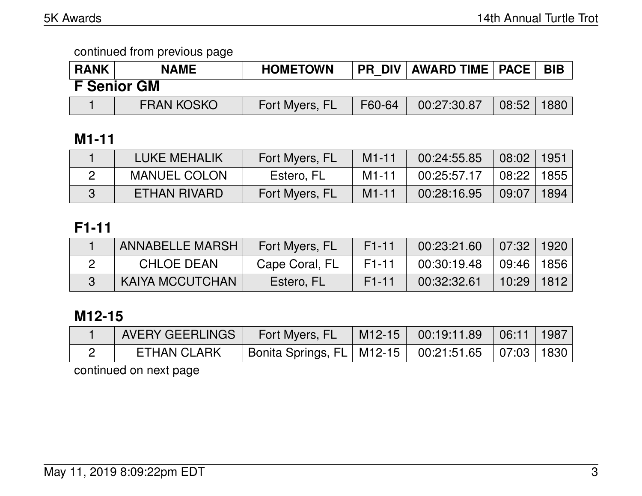| <b>RANK</b> | <b>NAME</b>        | <b>HOMETOWN</b> |        | <b>PR DIV   AWARD TIME   PACE  </b> |       | <b>BIB</b> |
|-------------|--------------------|-----------------|--------|-------------------------------------|-------|------------|
|             | <b>F</b> Senior GM |                 |        |                                     |       |            |
|             | <b>FRAN KOSKO</b>  | Fort Myers, FL  | F60-64 | 00:27:30.87                         | 08:52 | 1880       |

# **M1-11**

| LUKE MEHALIK        | Fort Myers, FL | $M1 - 11$ | 00:24:55.85 | $08:02$   1951                     |        |
|---------------------|----------------|-----------|-------------|------------------------------------|--------|
| <b>MANUEL COLON</b> | Estero, FL     | $M1 - 11$ | 00:25:57.17 | $\vert$ 08:22 $\vert$ 1855 $\vert$ |        |
| ETHAN RIVARD        | Fort Myers, FL | $M1 - 11$ | 00:28:16.95 | 09:07                              | 1894 l |

# **F1-11**

| ANNABELLE MARSH   | Fort Myers, FL | $F1-11$   | $00:23:21.60$ 07:32 1920     |                |  |
|-------------------|----------------|-----------|------------------------------|----------------|--|
| <b>CHLOE DEAN</b> | Cape Coral, FL | F1-11     | $00:30:19.48$   09:46   1856 |                |  |
| KAIYA MCCUTCHAN   | Estero, FL     | $F1 - 11$ | 00:32:32.61                  | $10:29$   1812 |  |

# **M12-15**

| AVERY GEERLINGS    | Fort Myers, FL                                           | $\parallel$ M12-15 $\parallel$ 00:19:11.89 $\parallel$ 06:11   1987 |  |
|--------------------|----------------------------------------------------------|---------------------------------------------------------------------|--|
| <b>ETHAN CLARK</b> | Bonita Springs, FL   M12-15   00:21:51.65   07:03   1830 |                                                                     |  |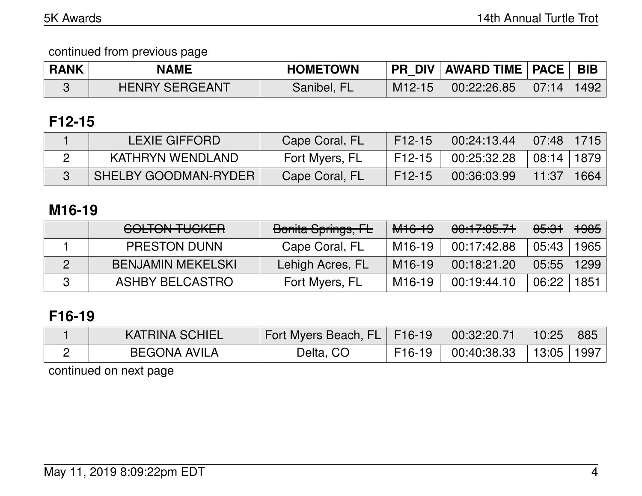| <b>RANK</b> | <b>NAME</b>           | <b>HOMETOWN</b> |          | PR_DIV   AWARD TIME   PACE   BIB |       |      |
|-------------|-----------------------|-----------------|----------|----------------------------------|-------|------|
|             | <b>HENRY SERGEANT</b> | Sanibel, FL     | $M12-15$ | 00:22:26.85                      | 07:14 | 1492 |

# **F12-15**

| <b>LEXIE GIFFORD</b>        | Cape Coral, FL | F12-15 |             |            |  |
|-----------------------------|----------------|--------|-------------|------------|--|
| KATHRYN WENDLAND            | Fort Myers, FL | F12-15 | 00:25:32.28 | 08:14 1879 |  |
| <b>SHELBY GOODMAN-RYDER</b> | Cape Coral, FL | F12-15 | 00:36:03.99 | 11:37 1664 |  |

## **M16-19**

| <u>COLTONI THOIZED</u><br><del>UULIUN TUUNLII</del> | Bonita Springs, FL | <del>M16-19</del>   | 00:17:05.71 | <del>05:31</del> | <del>1985</del> |
|-----------------------------------------------------|--------------------|---------------------|-------------|------------------|-----------------|
| <b>PRESTON DUNN</b>                                 | Cape Coral, FL     | M16-19              | 00:17:42.88 | 05:43            | 1965            |
| <b>BENJAMIN MEKELSKI</b>                            | Lehigh Acres, FL   | M <sub>16</sub> -19 | 00:18:21.20 | 05:55            | 1299            |
| ASHBY BELCASTRO                                     | Fort Myers, FL     | M16-19              | 00:19:44.10 | 06:22            | 1851            |

# **F16-19**

| <b>KATRINA SCHIEL</b> | Fort Myers Beach, FL   F16-19 |          | $\vert$ 00:32:20.71 | 10:25          | 885 |
|-----------------------|-------------------------------|----------|---------------------|----------------|-----|
| <b>BEGONA AVILA</b>   | Delta, CO                     | $F16-19$ | 100:40:38.33        | $13:05$   1997 |     |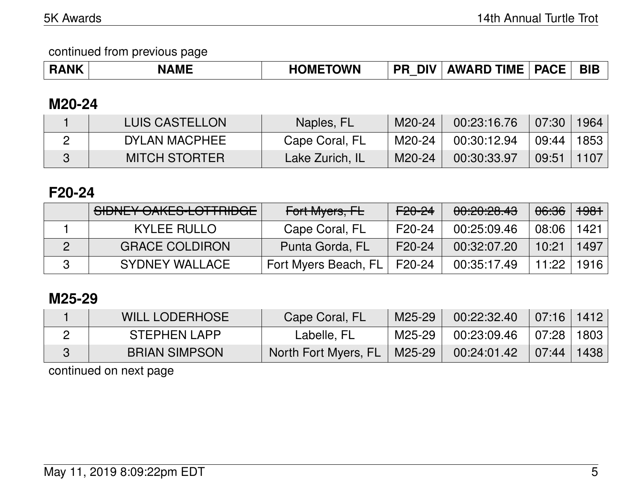continued from previous page

| <b>RANK</b> | .<br><b>AMF</b> | <b>TOWN</b><br><b>OMF</b> | <b>DIV</b><br>PR | <b>TIME</b><br><b>AWARD</b> | <b>PA</b><br>. L | <b>BIE</b> |
|-------------|-----------------|---------------------------|------------------|-----------------------------|------------------|------------|
|-------------|-----------------|---------------------------|------------------|-----------------------------|------------------|------------|

### **M20-24**

| LUIS CASTELLON       | Naples, FL      | M20-24 | 00:23:16.76 | 07:30        | 1964 |
|----------------------|-----------------|--------|-------------|--------------|------|
| DYLAN MACPHEE        | Cape Coral, FL  | M20-24 | 00:30:12.94 | 09:44   1853 |      |
| <b>MITCH STORTER</b> | Lake Zurich, IL | M20-24 | 00:30:33.97 | 09:51        | 1107 |

## **F20-24**

| SIDNEY OAKES-LOTTRIDGE | Fort Myers, FL       | <del>F20-24</del> | 00:20:28.43 | <del>06:36</del> | <del>1981</del> |
|------------------------|----------------------|-------------------|-------------|------------------|-----------------|
| <b>KYLEE RULLO</b>     | Cape Coral, FL       | F20-24            | 00:25:09.46 | 08:06            | 1421            |
| <b>GRACE COLDIRON</b>  | Punta Gorda, FL      | F20-24            | 00:32:07.20 | 10:21            | 1497            |
| <b>SYDNEY WALLACE</b>  | Fort Myers Beach, FL | F20-24            | 00:35:17.49 | 11:22            | 1916            |

# **M25-29**

| <b>WILL LODERHOSE</b> | Cape Coral, FL       | M25-29 | 00:22:32.40 | 07:16 1412 |      |
|-----------------------|----------------------|--------|-------------|------------|------|
| STEPHEN LAPP          | Labelle, FL          | M25-29 | 00:23:09.46 | 07:28      | 1803 |
| <b>BRIAN SIMPSON</b>  | North Fort Myers, FL | M25-29 | 00:24:01.42 | 07:44      | 1438 |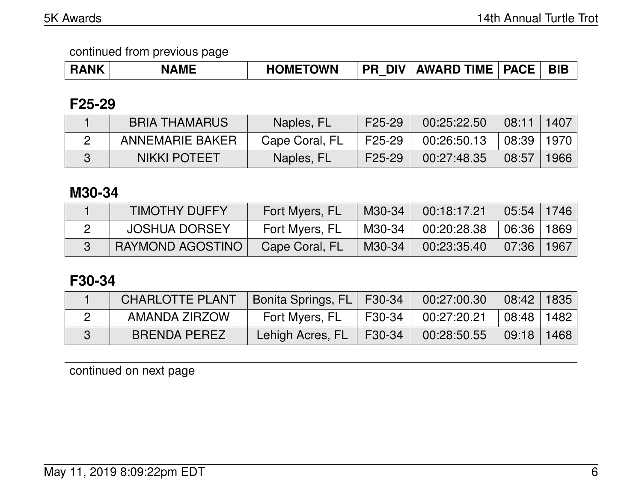| <b>RANK</b> | <b>NAME</b> | <b>HOMETOWN</b> | <b>DIV</b><br><b>PR</b> | <b>AWARD TIME</b> | <b>PACE</b> | <b>BIE</b> |
|-------------|-------------|-----------------|-------------------------|-------------------|-------------|------------|
|-------------|-------------|-----------------|-------------------------|-------------------|-------------|------------|

### **F25-29**

| <b>BRIA THAMARUS</b> | Naples, FL     | F25-29   | 00:25:22.50                               | $\mid$ 08:11   1407   |        |
|----------------------|----------------|----------|-------------------------------------------|-----------------------|--------|
| ANNEMARIE BAKER      | Cape Coral, FL | F25-29 I | $00:26:50.13$ $\mid 08:39 \mid 1970 \mid$ |                       |        |
| <b>NIKKI POTEET</b>  | Naples, FL     | F25-29   | 00:27:48.35                               | $\vert$ 08:57 $\vert$ | 1966 l |

# **M30-34**

| <b>TIMOTHY DUFFY</b> | Fort Myers, FL | M30-34 | 00:18:17.21 | 05:54 1746                    |      |
|----------------------|----------------|--------|-------------|-------------------------------|------|
| <b>JOSHUA DORSEY</b> | Fort Myers, FL | M30-34 | 00:20:28.38 | ∣ 06:36 ∣                     | 1869 |
| RAYMOND AGOSTINO     | Cape Coral, FL | M30-34 | 00:23:35.40 | $\parallel$ 07:36 $\parallel$ | 1967 |

# **F30-34**

| <b>CHARLOTTE PLANT</b> | Bonita Springs, FL   F30-34 |          | $00:27:00.30$ 08:42 1835                                                                                         |      |
|------------------------|-----------------------------|----------|------------------------------------------------------------------------------------------------------------------|------|
| AMANDA ZIRZOW          | Fort Myers, FL              | F30-34 L | $\begin{array}{ c c c c c c c c } \hline \rule{0pt}{8pt} & \text{00:27:20.21} & \text{08:48} \hline \end{array}$ | 1482 |
| <b>BRENDA PEREZ</b>    | Lehigh Acres, FL            | F30-34   | $\mid$ 00:28:50.55 $\mid$ 09:18   1468                                                                           |      |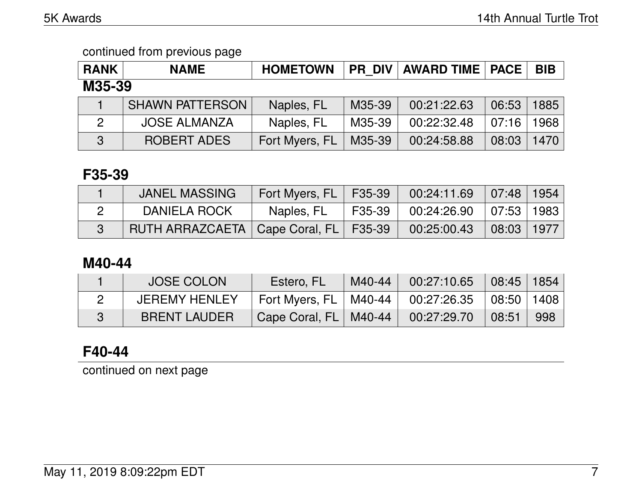| <b>RANK</b>  | <b>NAME</b>            | <b>HOMETOWN</b> |        | <b>PR DIV   AWARD TIME   PACE  </b> |       | <b>BIB</b> |  |
|--------------|------------------------|-----------------|--------|-------------------------------------|-------|------------|--|
| M35-39       |                        |                 |        |                                     |       |            |  |
|              | <b>SHAWN PATTERSON</b> | Naples, FL      | M35-39 | 00:21:22.63                         | 06:53 | 1885       |  |
| $\mathbf{2}$ | <b>JOSE ALMANZA</b>    | Naples, FL      | M35-39 | 00:22:32.48                         | 07:16 | 1968       |  |
| 3            | <b>ROBERT ADES</b>     | Fort Myers, FL  | M35-39 | 00:24:58.88                         | 08:03 | 1470       |  |

### **F35-39**

| <b>JANEL MASSING</b>                      | Fort Myers, FL   F35-39   00:24:11.69   07:48   1954 |                        |                                                         |                                 |  |
|-------------------------------------------|------------------------------------------------------|------------------------|---------------------------------------------------------|---------------------------------|--|
| DANIELA ROCK                              | Naples, FL                                           | $\vert$ F35-39 $\vert$ | $^{\prime}$ 00:24:26.90 $\mid$ 07:53 $\mid$ 1983 $\mid$ |                                 |  |
| RUTH ARRAZCAETA   Cape Coral, FL   F35-39 |                                                      |                        | 00:25:00.43                                             | $\mid$ 08:03 $\mid$ 1977 $\mid$ |  |

# **M40-44**

| <b>JOSE COLON</b>    | Estero, FL                                           | 「M40-44   00:27:10.65   08:45   1854 |                |      |
|----------------------|------------------------------------------------------|--------------------------------------|----------------|------|
| <b>JEREMY HENLEY</b> | Fort Myers, FL   M40-44   00:27:26.35   08:50   1408 |                                      |                |      |
| <b>BRENT LAUDER</b>  | Cape Coral, FL   M40-44                              | $\vert$ 00:27:29.70                  | $\sqrt{08:51}$ | -998 |

# **F40-44**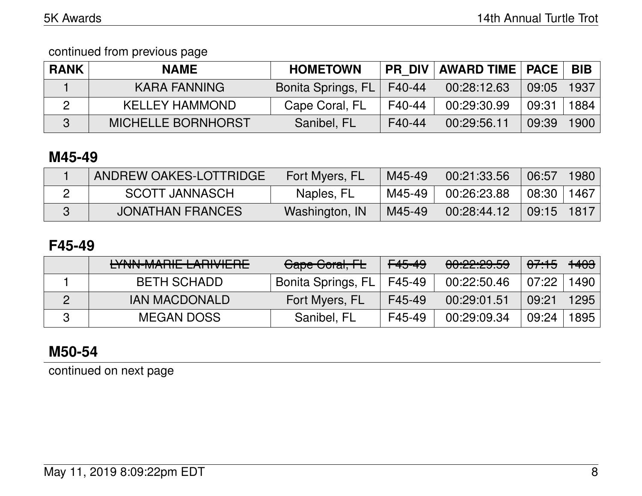continued from previous page

| <b>RANK</b> | <b>NAME</b>               | <b>HOMETOWN</b>    | <b>PR DIV</b> | <b>AWARD TIME   PACE</b> |       | <b>BIB</b> |
|-------------|---------------------------|--------------------|---------------|--------------------------|-------|------------|
|             | <b>KARA FANNING</b>       | Bonita Springs, FL | F40-44        | 00:28:12.63              | 09:05 | 1937       |
|             | <b>KELLEY HAMMOND</b>     | Cape Coral, FL     | F40-44        | 00:29:30.99              | 09:31 | 1884       |
| 3           | <b>MICHELLE BORNHORST</b> | Sanibel, FL        | F40-44        | 00:29:56.11              | 09:39 | 1900       |

# **M45-49**

| ANDREW OAKES-LOTTRIDGE  | Fort Myers, FL | M45-49 | 00:21:33.56 | 06:57                           | 1980 |
|-------------------------|----------------|--------|-------------|---------------------------------|------|
| <b>SCOTT JANNASCH</b>   | Naples, FL     | M45-49 | 00:26:23.88 | $+08:30$ $^+$                   | 1467 |
| <b>JONATHAN FRANCES</b> | Washington, IN | M45-49 | 00:28:44.12 | $\mid$ 09:15 $\mid$ 1817 $\mid$ |      |

### **F45-49**

| IVAINI MADIE I ADIVIEDE<br>ET NY WALLE EARLY CHE | Gape Goral, FL     | <del>F45-49</del> | 0.00000000<br><del>uu.cz.zu.uu</del> | <del>07:15</del> | <del>1403</del> |
|--------------------------------------------------|--------------------|-------------------|--------------------------------------|------------------|-----------------|
| <b>BETH SCHADD</b>                               | Bonita Springs, FL | F45-49            | 00:22:50.46                          | 07:22            | 1490            |
| <b>IAN MACDONALD</b>                             | Fort Myers, FL     | F45-49            | 00:29:01.51                          | 09:21            | 1295            |
| <b>MEGAN DOSS</b>                                | Sanibel, FL        | F45-49            | 00:29:09.34                          | 09:24            | 1895            |

# **M50-54**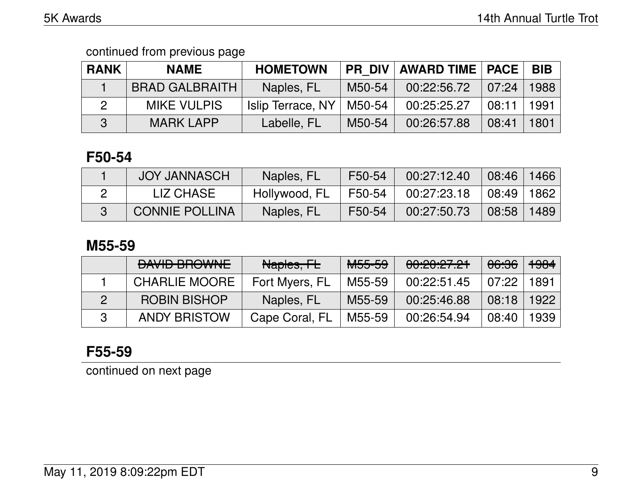| <b>RANK</b> | <b>NAME</b>           | <b>HOMETOWN</b>   | <b>PR DIV</b> | <b>AWARD TIME   PACE  </b> |       | <b>BIB</b> |
|-------------|-----------------------|-------------------|---------------|----------------------------|-------|------------|
|             | <b>BRAD GALBRAITH</b> | Naples, FL        | M50-54        | 00:22:56.72                | 07:24 | 1988       |
|             | <b>MIKE VULPIS</b>    | Islip Terrace, NY | M50-54        | 00:25:25.27                | 08:11 | 1991       |
| R           | <b>MARK LAPP</b>      | Labelle, FL       | M50-54        | 00:26:57.88                | 08:41 | 1801       |

## **F50-54**

| <b>JOY JANNASCH</b>   | Naples, FL    | F50-54 | 00:27:12.40 | 08:46   1466 |      |
|-----------------------|---------------|--------|-------------|--------------|------|
| LIZ CHASE             | Hollywood, FL | F50-54 | 00:27:23.18 | 08:49   1862 |      |
| <b>CONNIE POLLINA</b> | Naples, FL    | F50-54 | 00:27:50.73 | 08:58        | 1489 |

### **M55-59**

| <b>DAVID BROWNE</b>  | Naples, FL     | M <sub>55-59</sub> | 00:20:27.21 | 06:36 | $+984$ |
|----------------------|----------------|--------------------|-------------|-------|--------|
| <b>CHARLIE MOORE</b> | Fort Myers, FL | M55-59             | 00:22:51.45 | 07:22 | 1891   |
| <b>ROBIN BISHOP</b>  | Naples, FL     | M55-59             | 00:25:46.88 | 08:18 | 1922   |
| <b>ANDY BRISTOW</b>  | Cape Coral, FL | M55-59             | 00:26:54.94 | 08:40 | 1939   |

# **F55-59**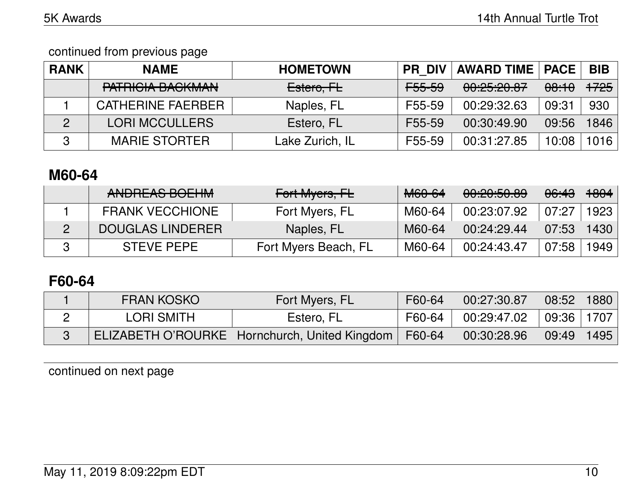| <b>RANK</b>    | <b>NAME</b>                                        | <b>HOMETOWN</b> | <b>PR DIV</b>     | <b>AWARD TIME   PACE</b>                    |                  | <b>BIB</b>      |
|----------------|----------------------------------------------------|-----------------|-------------------|---------------------------------------------|------------------|-----------------|
|                | M T D I Q I A D A Q I X I A N I<br>יימייטריש מטחמת | Estero, FL      | <del>F55-59</del> | <u>00.05.00.07</u><br><u>00. CJ. CV. UT</u> | <del>08:10</del> | <del>1725</del> |
|                | <b>CATHERINE FAERBER</b>                           | Naples, FL      | F55-59            | 00:29:32.63                                 | 09:31            | 930             |
| $\overline{2}$ | <b>LORI MCCULLERS</b>                              | Estero, FL      | F55-59            | 00:30:49.90                                 | 09:56            | 1846            |
| 3              | <b>MARIE STORTER</b>                               | Lake Zurich, IL | F55-59            | 00:31:27.85                                 | 10:08            | 1016            |

### **M60-64**

| ANDDEAC DOFIIM<br><b>ANDITEAS DULTIM</b> | Fort Myers, FL       | <del>M60-64</del> | 0.0005000<br><del>00.20.00.00</del> | <del>06:43</del> | <del>1804</del> |
|------------------------------------------|----------------------|-------------------|-------------------------------------|------------------|-----------------|
| <b>FRANK VECCHIONE</b>                   | Fort Myers, FL       | M60-64            | 00:23:07.92                         | 07:27            | 1923            |
| DOUGLAS LINDERER                         | Naples, FL           | M60-64            | 00:24:29.44                         | 07:53            | 1430            |
| <b>STEVE PEPE</b>                        | Fort Myers Beach, FL | M60-64            | 00:24:43.47                         | 07:58            | 1949            |

## **F60-64**

| <b>FRAN KOSKO</b> | Fort Myers, FL                                  | F60-64 | 00:27:30.87 | 08:52        | 1880 |
|-------------------|-------------------------------------------------|--------|-------------|--------------|------|
| LORI SMITH        | Estero, FL                                      | F60-64 | 00:29:47.02 | 09:36   1707 |      |
|                   | ELIZABETH O'ROURKE   Hornchurch, United Kingdom | F60-64 | 00:30:28.96 | 09:49        | 1495 |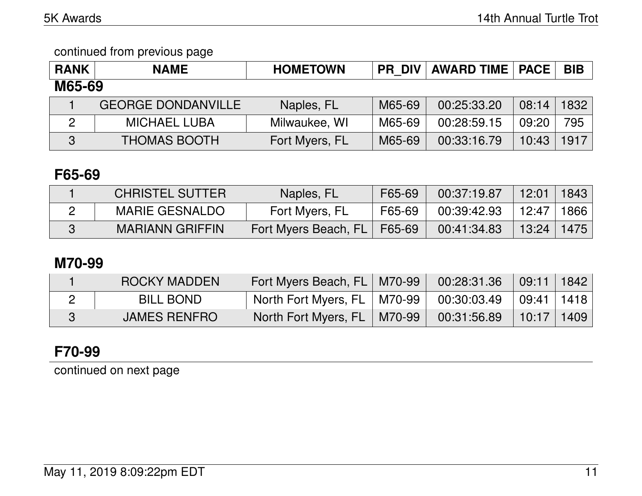| <b>RANK</b>   | <b>NAME</b>               | <b>HOMETOWN</b> | <b>PR DIV</b> | <b>AWARD TIME   PACE</b> |       | <b>BIB</b> |  |
|---------------|---------------------------|-----------------|---------------|--------------------------|-------|------------|--|
| M65-69        |                           |                 |               |                          |       |            |  |
|               | <b>GEORGE DONDANVILLE</b> | Naples, FL      | M65-69        | 00:25:33.20              | 08:14 | 1832       |  |
| $\mathcal{P}$ | <b>MICHAEL LUBA</b>       | Milwaukee, WI   | M65-69        | 00:28:59.15              | 09:20 | 795        |  |
| 3             | <b>THOMAS BOOTH</b>       | Fort Myers, FL  | M65-69        | 00:33:16.79              | 10:43 | 1917       |  |

## **F65-69**

| <b>CHRISTEL SUTTER</b> | Naples, FL                    | F65-69 | 00:37:19.87 | 12:01          | 1843 |
|------------------------|-------------------------------|--------|-------------|----------------|------|
| <b>MARIE GESNALDO</b>  | Fort Myers, FL                | F65-69 | 00:39:42.93 | 12:47 1866     |      |
| <b>MARIANN GRIFFIN</b> | Fort Myers Beach, FL   F65-69 |        | 00:41:34.83 | $13:24$   1475 |      |

# **M70-99**

| ROCKY MADDEN        | Fort Myers Beach, FL   M70-99 | 00:28:31.36                  | 09:11 1842     |  |
|---------------------|-------------------------------|------------------------------|----------------|--|
| <b>BILL BOND</b>    | North Fort Myers, FL   M70-99 | $00:30:03.49$ $ 09:41 1418 $ |                |  |
| <b>JAMES RENFRO</b> | North Fort Myers, FL   M70-99 | 00:31:56.89                  | $10:17$   1409 |  |

# **F70-99**